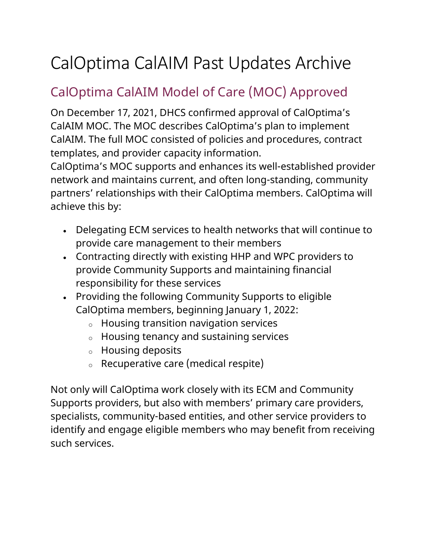# CalOptima CalAIM Past Updates Archive

## CalOptima CalAIM Model of Care (MOC) Approved

On December 17, 2021, DHCS confirmed approval of CalOptima's CalAIM MOC. The MOC describes CalOptima's plan to implement CalAIM. The full MOC consisted of policies and procedures, contract templates, and provider capacity information.

CalOptima's MOC supports and enhances its well-established provider network and maintains current, and often long-standing, community partners' relationships with their CalOptima members. CalOptima will achieve this by:

- Delegating ECM services to health networks that will continue to provide care management to their members
- Contracting directly with existing HHP and WPC providers to provide Community Supports and maintaining financial responsibility for these services
- Providing the following Community Supports to eligible CalOptima members, beginning January 1, 2022:
	- o Housing transition navigation services
	- o Housing tenancy and sustaining services
	- o Housing deposits
	- o Recuperative care (medical respite)

Not only will CalOptima work closely with its ECM and Community Supports providers, but also with members' primary care providers, specialists, community-based entities, and other service providers to identify and engage eligible members who may benefit from receiving such services.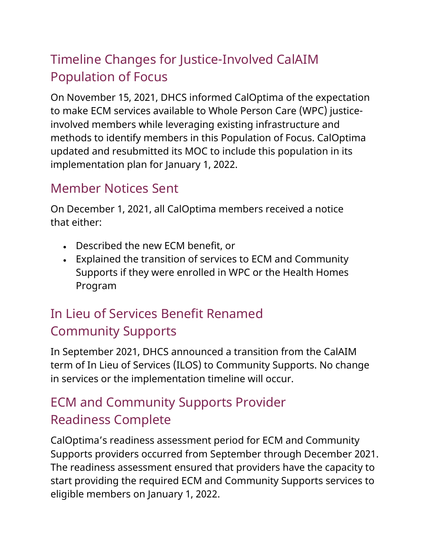## Timeline Changes for Justice-Involved CalAIM Population of Focus

On November 15, 2021, DHCS informed CalOptima of the expectation to make ECM services available to Whole Person Care (WPC) justiceinvolved members while leveraging existing infrastructure and methods to identify members in this Population of Focus. CalOptima updated and resubmitted its MOC to include this population in its implementation plan for January 1, 2022.

#### Member Notices Sent

On December 1, 2021, all CalOptima members received a notice that either:

- Described the new ECM benefit, or
- Explained the transition of services to ECM and Community Supports if they were enrolled in WPC or the Health Homes Program

## In Lieu of Services Benefit Renamed Community Supports

In September 2021, DHCS announced a transition from the CalAIM term of In Lieu of Services (ILOS) to Community Supports. No change in services or the implementation timeline will occur.

## ECM and Community Supports Provider Readiness Complete

CalOptima's readiness assessment period for ECM and Community Supports providers occurred from September through December 2021. The readiness assessment ensured that providers have the capacity to start providing the required ECM and Community Supports services to eligible members on January 1, 2022.